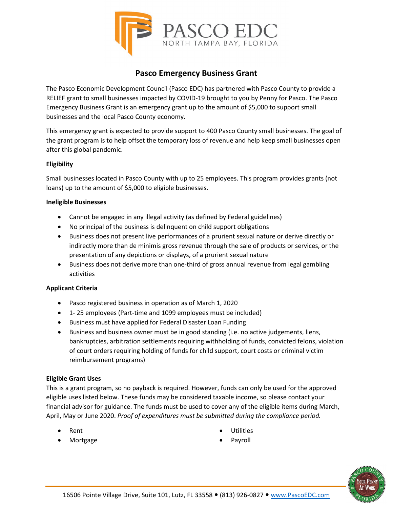

# **Pasco Emergency Business Grant**

The Pasco Economic Development Council (Pasco EDC) has partnered with Pasco County to provide a RELIEF grant to small businesses impacted by COVID-19 brought to you by Penny for Pasco. The Pasco Emergency Business Grant is an emergency grant up to the amount of \$5,000 to support small businesses and the local Pasco County economy.

This emergency grant is expected to provide support to 400 Pasco County small businesses. The goal of the grant program is to help offset the temporary loss of revenue and help keep small businesses open after this global pandemic.

## **Eligibility**

Small businesses located in Pasco County with up to 25 employees. This program provides grants (not loans) up to the amount of \$5,000 to eligible businesses.

#### **Ineligible Businesses**

- Cannot be engaged in any illegal activity (as defined by Federal guidelines)
- No principal of the business is delinquent on child support obligations
- Business does not present live performances of a prurient sexual nature or derive directly or indirectly more than de minimis gross revenue through the sale of products or services, or the presentation of any depictions or displays, of a prurient sexual nature
- Business does not derive more than one-third of gross annual revenue from legal gambling activities

# **Applicant Criteria**

- Pasco registered business in operation as of March 1, 2020
- 1- 25 employees (Part-time and 1099 employees must be included)
- Business must have applied for Federal Disaster Loan Funding
- Business and business owner must be in good standing (i.e. no active judgements, liens, bankruptcies, arbitration settlements requiring withholding of funds, convicted felons, violation of court orders requiring holding of funds for child support, court costs or criminal victim reimbursement programs)

# **Eligible Grant Uses**

This is a grant program, so no payback is required. However, funds can only be used for the approved eligible uses listed below. These funds may be considered taxable income, so please contact your financial advisor for guidance. The funds must be used to cover any of the eligible items during March, April, May or June 2020. *Proof of expenditures must be submitted during the compliance period.*

- Rent
- Mortgage
- Utilities
- **Payroll**

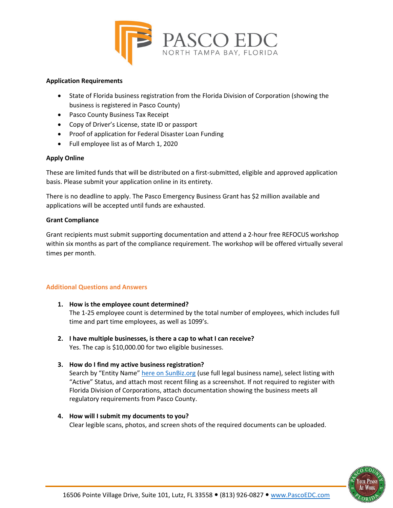

#### **Application Requirements**

- State of Florida business registration from the Florida Division of Corporation (showing the business is registered in Pasco County)
- Pasco County Business Tax Receipt
- Copy of Driver's License, state ID or passport
- Proof of application for Federal Disaster Loan Funding
- Full employee list as of March 1, 2020

# **Apply Online**

These are limited funds that will be distributed on a first-submitted, eligible and approved application basis. Please submit your application online in its entirety.

There is no deadline to apply. The Pasco Emergency Business Grant has \$2 million available and applications will be accepted until funds are exhausted.

## **Grant Compliance**

Grant recipients must submit supporting documentation and attend a 2-hour free REFOCUS workshop within six months as part of the compliance requirement. The workshop will be offered virtually several times per month.

#### **Additional Questions and Answers**

- **1. How is the employee count determined?** The 1-25 employee count is determined by the total number of employees, which includes full time and part time employees, as well as 1099's.
- **2. I have multiple businesses, is there a cap to what I can receive?** Yes. The cap is \$10,000.00 for two eligible businesses.
- **3. How do I find my active business registration?**

Search by "Entity Name[" here on SunBiz.org](http://search.sunbiz.org/Inquiry/CorporationSearch/ByName) (use full legal business name), select listing with "Active" Status, and attach most recent filing as a screenshot. If not required to register with Florida Division of Corporations, attach documentation showing the business meets all regulatory requirements from Pasco County.

**4. How will I submit my documents to you?** Clear legible scans, photos, and screen shots of the required documents can be uploaded.